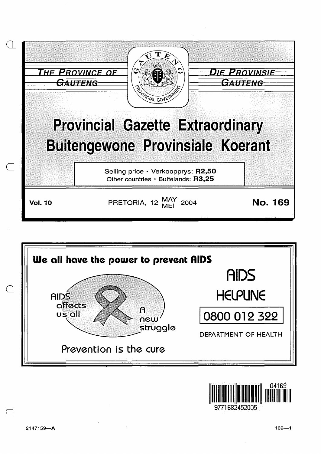



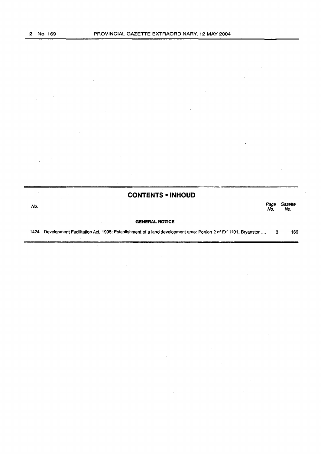l.

 $\bar{z}$ 

|      | <b>CONTENTS • INHOUD</b>                                                                                       |             |                |
|------|----------------------------------------------------------------------------------------------------------------|-------------|----------------|
| No.  |                                                                                                                | Page<br>No. | Gazette<br>No. |
|      | <b>GENERAL NOTICE</b>                                                                                          |             |                |
| 1424 | Development Facilitation Act, 1995: Establishment of a land development area: Portion 2 of Erf 1101, Bryanston | з           | 169            |

 $\bar{z}$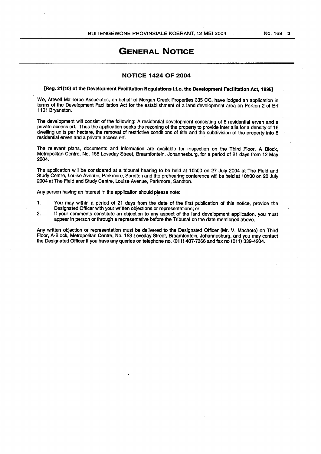# **GENERAL NOTICE**

## **NOTICE 1424 OF 2004**

## [Reg. 21(10) of the Development Facilitation Regulations i.t.o. the Development Facilitation Act, 1995]

We, Attwell Malherbe Associates, on behalf of Morgan Creek Properties 335 CC, have lodged an application in terms of the Development Facilitation Act for the establishment of a land development area on Portion 2 of Erf 1101 Bryanston.

The development will consist of the following: A residential development consisting of 8 residential erven and a private access erf. Thus the application seeks the rezoning of the property to provide inter alia for a density of 16 dwelling units per hectare, the removal of restrictive conditions of title and the subdivision of the property into 8 residential erven and a private access erf.

The relevant plans, documents and information are available for inspection on the Third Floor, A Block, Metropolitan Centre, No. 158 Loveday Street, Braamfontein, Johannesburg, for a period of 21 days from 12 May 2004.

The application will be considered at a tribunal hearing to be held at 10h00 on 27 July 2004 at The Field and Study Centre, Louise Avenue, Parkmore, Sandton and the prehearing conference will be held at 10h00 on 20 July 2004 at The Field and Study Centre, Louise Avenue, Parkmore, Sandton.

Any person having an interest in the application should please note:

- 1. You may within a period of 21 days from the date of the first publication of this notice, provide the Designated Officer with your written objections or representations; or
- 2. If your comments constitute an objection to any aspect of the land development application, you must appear in person or through a representative before the Tribunal on the date mentioned above.

Any written objection or representation must be delivered to the Designated Officer (Mr. V. Machete) on Third Aoor, A-Block, Metropolitan Centre, No. 158 Loveday Street, Braamfontein, Johannesburg, and you may contact the Designated Officer if you have any queries on telephone no. (011) 407-7366 and fax no (011) 339-4204.